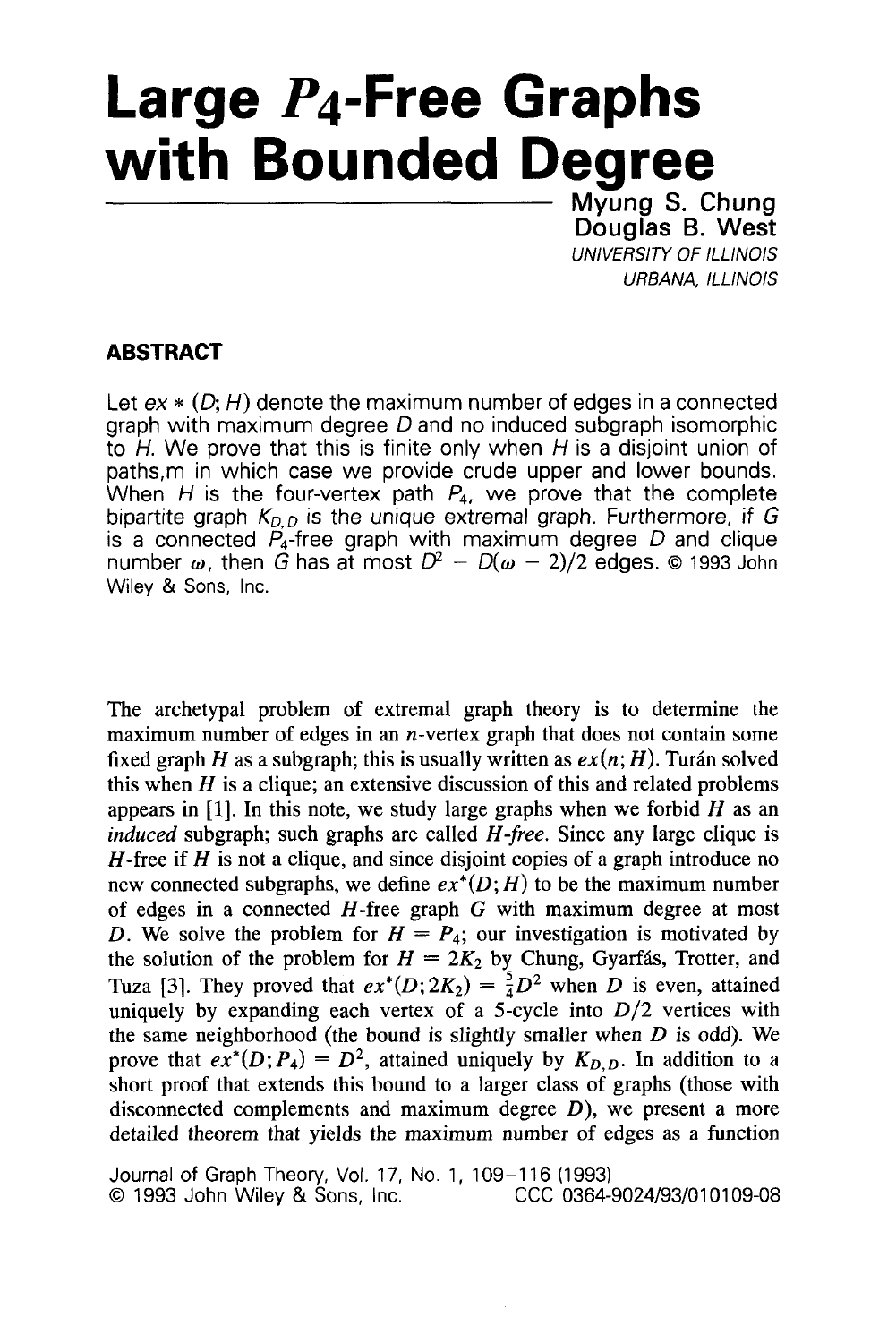# **Large P4-Free Graphs with Bounded Degree**<br> **Mang S. Chung S. Chung**

**Douglas B. West UNIVERSITY OF ILLINOIS** *URBANA, ILLINOIS* 

# **ABSTRACT**

Let  $ex * (D; H)$  denote the maximum number of edges in a connected graph with maximum degree *D* and no induced subgraph isomorphic to *H.* We prove that this is finite only when *H* is a disjoint union of paths,m in which case we provide crude upper and lower bounds. When  $H$  is the four-vertex path  $P_4$ , we prove that the complete bipartite graph  $K_{DD}$  is the unique extremal graph. Furthermore, if G is a connected P4-free graph with maximum degree *D* and clique number  $\omega$ , then G has at most  $D^2 - D(\omega - 2)/2$  edges. © 1993 John Wiley & Sons, Inc.

The archetypal problem of extremal graph theory is to determine the maximum number of edges in an n-vertex graph that does not contain some fixed graph *H* as a subgraph; this is usually written as  $ex(n; H)$ . Turán solved this when  $H$  is a clique; an extensive discussion of this and related problems appears in **[l].** In this note, we study large graphs when we forbid *H* as an *induced* subgraph; such graphs are called *H-free.* Since any large clique is H-free if *H* is not a clique, and since disjoint copies of a graph introduce no new connected subgraphs, we define  $ex^*(D;H)$  to be the maximum number of edges in a connected H-free graph *G* with maximum degree at most *D.* We solve the problem for  $H = P_4$ ; our investigation is motivated by the solution of the problem for  $H = 2K_2$  by Chung, Gyarfás, Trotter, and Tuza [3]. They proved that  $ex^*(D; 2K_2) = \frac{5}{4}D^2$  when *D* is even, attained uniquely by expanding each vertex of a 5-cycle into *D/2* vertices with the same neighborhood (the bound is slightly smaller when *D* is odd). We prove that  $ex^*(D; P_4) = D^2$ , attained uniquely by  $K_{D,D}$ . In addition to a short proof that extends this bound to a larger class of graphs (those with disconnected complements and maximum degree *D),* we present a more detailed theorem that yields the maximum number of edges as a function

Journal of Graph Theory, Vol. 17, No. 1, 109-1 16 (1993) *0 1993 John Wiley & Sons, Inc.*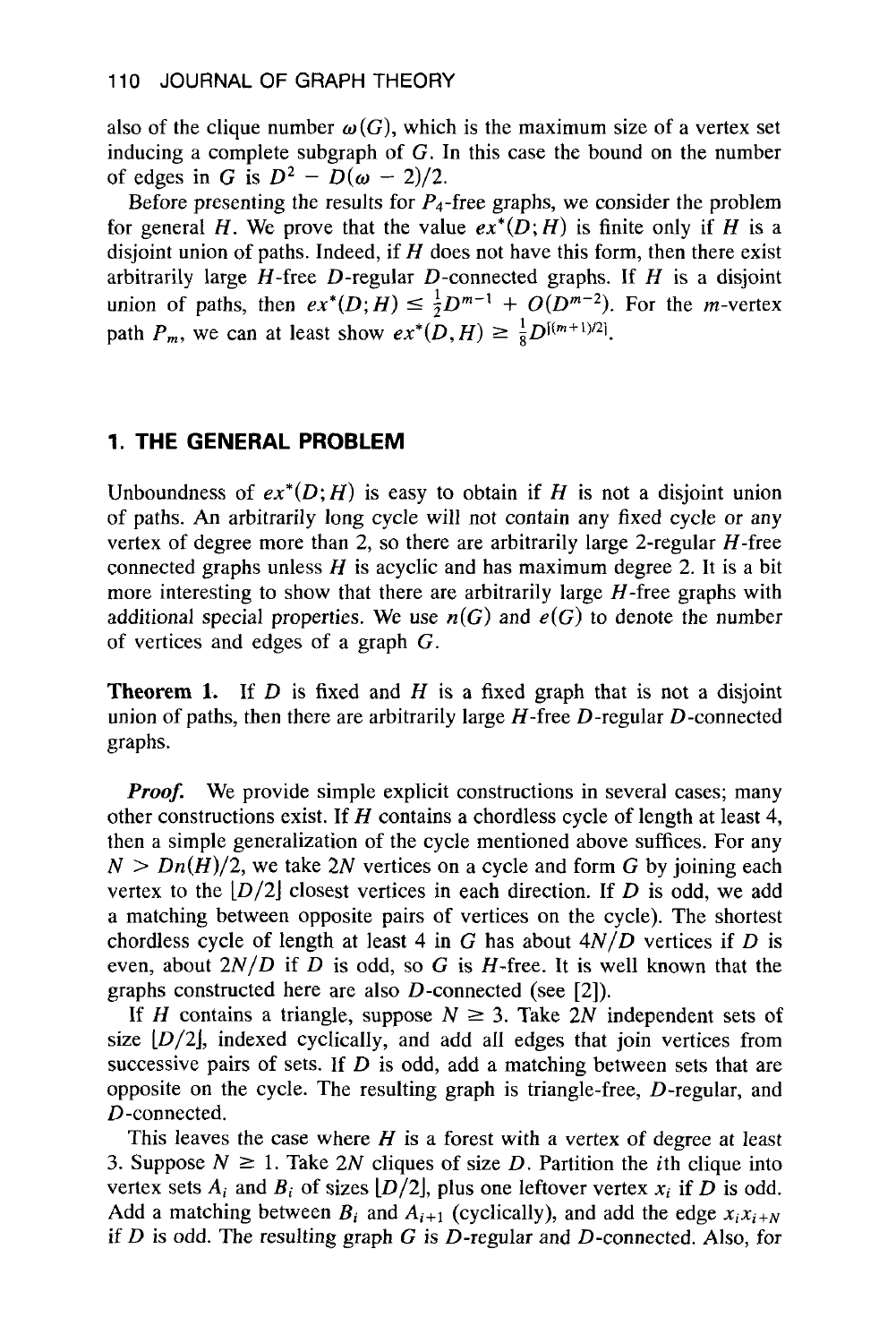also of the clique number  $\omega(G)$ , which is the maximum size of a vertex set inducing a complete subgraph of *G.* In this case the bound on the number of edges in *G* is  $D^2 - D(\omega - 2)/2$ .

Before presenting the results for  $P_4$ -free graphs, we consider the problem for general *H*. We prove that the value  $ex^*(D;H)$  is finite only if *H* is a disjoint union of paths. Indeed, if *H* does not have this form, then there exist arbitrarily large H-free D-regular D-connected graphs. If *H* is a disjoint union of paths, then  $ex^*(D;H) \leq \frac{1}{2}D^{m-1} + O(D^{m-2})$ . For the *m*-vertex path  $P_m$ , we can at least show  $ex^*(D,H) \geq \frac{1}{8}D^{[(m+1)/2]}$ .

#### **1. THE GENERAL PROBLEM**

Unboundness of  $ex^*(D; H)$  is easy to obtain if H is not a disjoint union of paths. *An* arbitrarily long cycle will not contain any fixed cycle or any vertex of degree more than 2, so there are arbitrarily large 2-regular  $H$ -free connected graphs unless  $H$  is acyclic and has maximum degree 2. It is a bit more interesting to show that there are arbitrarily large  $H$ -free graphs with additional special properties. We use  $n(G)$  and  $e(G)$  to denote the number of vertices and edges of **a** graph *G.* 

**Theorem 1.** If D **is** fixed and *H* is a fixed graph that is not a disjoint union of paths, then there are arbitrarily large  $H$ -free  $D$ -regular  $D$ -connected graphs.

*Proof.* We provide simple explicit constructions in several cases; many other constructions exist. If *H* contains a chordless cycle of length at least 4, then a simple generalization of the cycle mentioned above suffices. For any  $N > Dn(H)/2$ , we take 2N vertices on a cycle and form G by joining each vertex to the  $|D/2|$  closest vertices in each direction. If D is odd, we add a matching between opposite pairs of vertices on the cycle). The shortest chordless cycle of length at least 4 in  $G$  has about  $4N/D$  vertices if  $D$  is even, about  $2N/D$  if D is odd, so G is H-free. It is well known that the graphs constructed here are also D-connected (see [2]).

If *H* contains a triangle, suppose  $N \geq 3$ . Take 2N independent sets of size  $[D/2]$ , indexed cyclically, and add all edges that join vertices from successive pairs of sets. **If** *D* **is** odd, add a matching between sets that are opposite on the cycle. The resulting graph is triangle-free, D-regular, and D-connected.

This leaves the case where *H* is a forest with a vertex of degree at least 3. Suppose  $N \ge 1$ . Take 2N cliques of size D. Partition the *i*th clique into vertex sets  $A_i$  and  $B_i$  of sizes  $[D/2]$ , plus one leftover vertex  $x_i$  if D is odd. Add a matching between  $B_i$  and  $A_{i+1}$  (cyclically), and add the edge  $x_i x_{i+N}$ if *D* is odd. The resulting graph *G* **is** D-regular and D-connected. **Also,** for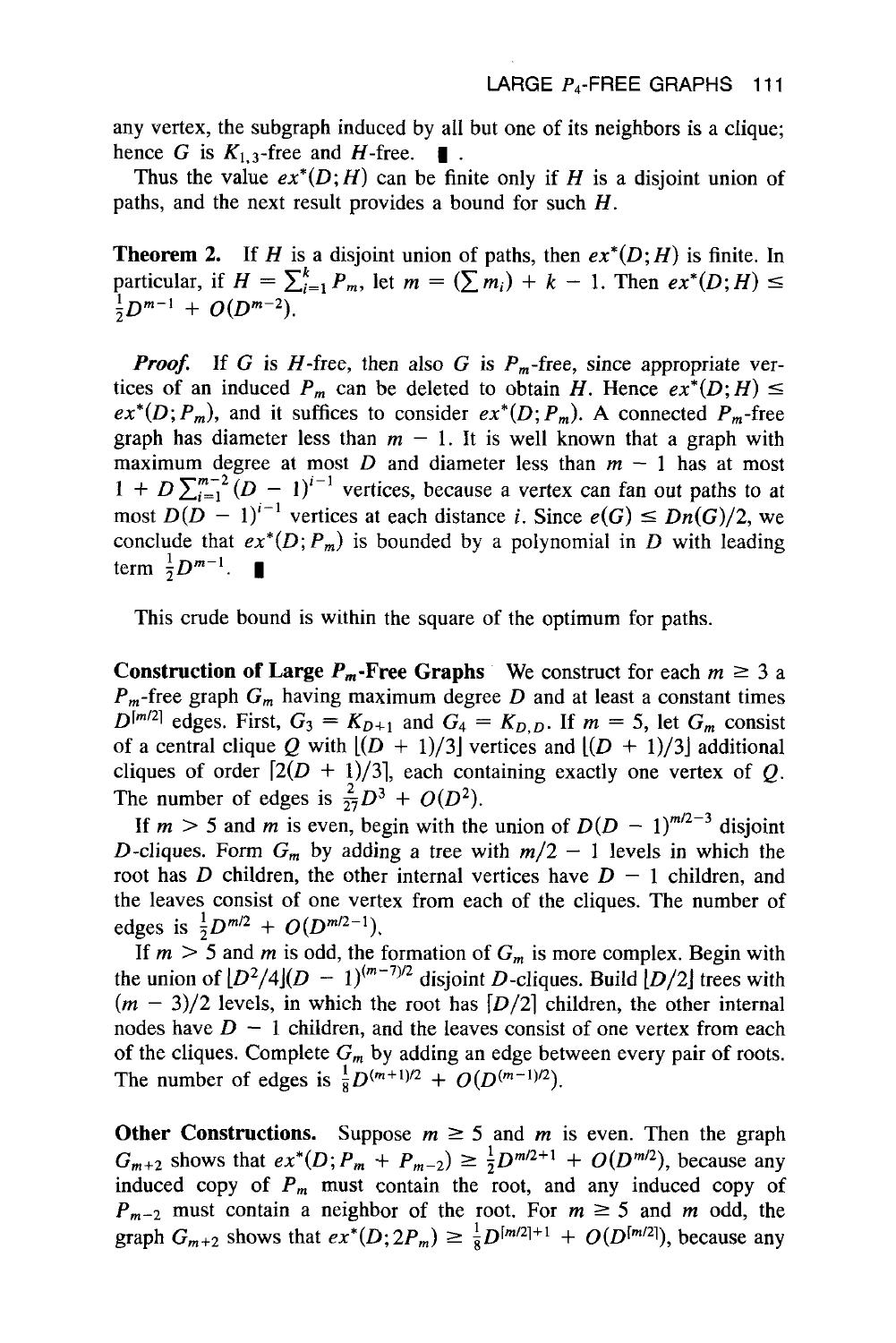any vertex, the subgraph induced by all but one of its neighbors is a clique; hence *G* is  $K_{1,3}$ -free and *H*-free.  $\blacksquare$ .<br>Thus the value  $ex^*(D;H)$  can be finite only if *H* is a disjoint union of

paths, and the next result provides a bound for such H.

**Theorem 2.** If H is a disjoint union of paths, then  $ex^*(D;H)$  is finite. In **Theorem 2.** If *H* is a disjoint union of paths, then  $ex^*(D;H)$  is finite. In particular, if  $H = \sum_{i=1}^{k} P_m$ , let  $m = (\sum m_i) + k - 1$ . Then  $ex^*(D;H) \le$  $\frac{1}{2}D^{m-1} + O(D^{m-2}).$ 

*Proof.* If *G* is *H*-free, then also *G* is  $P_m$ -free, since appropriate vertices of an induced  $P_m$  can be deleted to obtain *H*. Hence  $ex^*(D;H) \leq$  $ex^*(D; P_m)$ , and it suffices to consider  $ex^*(D; P_m)$ . A connected  $P_m$ -free graph has diameter less than  $m-1$ . It is well known that a graph with maximum degree at most *D* and diameter less than  $m - 1$  has at most  $1 + D \sum_{i=1}^{m-2} (D - 1)^{i-1}$  vertices, because a vertex can fan out paths to at most  $D(D-1)^{i-1}$  vertices at each distance *i*. Since  $e(G) \leq Dn(G)/2$ , we conclude that  $ex^{*}(D; P_{m})$  is bounded by a polynomial in *D* with leading term  $\frac{1}{2}D^{m-1}$ .

This crude bound **is** within the square of the optimum for paths.

**Construction of Large**  $P_m$ **-Free Graphs** We construct for each  $m \geq 3$  a  $P_m$ -free graph  $G_m$  having maximum degree *D* and at least a constant times  $D^{[m/2]}$  edges. First,  $G_3 = K_{D+1}$  and  $G_4 = K_{D,D}$ . If  $m = 5$ , let  $G_m$  consist of a central clique Q with  $[(D + 1)/3]$  vertices and  $[(D + 1)/3]$  additional cliques of order  $[2(D + 1)/3]$ , each containing exactly one vertex of *Q*. The number of edges is  $\frac{2}{27}D^3 + O(D^2)$ .

If  $m > 5$  and *m* is even, begin with the union of  $D(D - 1)^{m/2-3}$  disjoint D-cliques. Form  $G_m$  by adding a tree with  $m/2 - 1$  levels in which the root has *D* children, the other internal vertices have  $D-1$  children, and the leaves consist of one vertex from each of the cliques. The number of edges is  $\frac{1}{2}D^{m/2} + O(D^{m/2-1})$ .

If  $m > 5$  and *m* is odd, the formation of  $G_m$  is more complex. Begin with the union of  $[D^2/4](D - 1)^{(m-7)/2}$  disjoint D-cliques. Build  $[D/2]$  trees with  $(m - 3)/2$  levels, in which the root has  $[D/2]$  children, the other internal nodes have  $D-1$  children, and the leaves consist of one vertex from each of the cliques. Complete  $G_m$  by adding an edge between every pair of roots. The number of edges is  $\frac{1}{8}D^{(m+1)/2} + O(D^{(m-1)/2})$ .

**Other Constructions.** Suppose  $m \ge 5$  and  $m$  is even. Then the graph  $G_{m+2}$  shows that  $ex^*(D; P_m + P_{m-2}) \ge \frac{1}{2}D^{m/2+1} + O(D^{m/2})$ , because any induced copy of  $P_m$  must contain the root, and any induced copy of  $P_{m-2}$  must contain a neighbor of the root. For  $m \ge 5$  and *m* odd, the graph  $G_{m+2}$  shows that  $ex^*(D; 2P_m) \geq \frac{1}{8}D^{[m/2]+1} + O(D^{[m/2]})$ , because any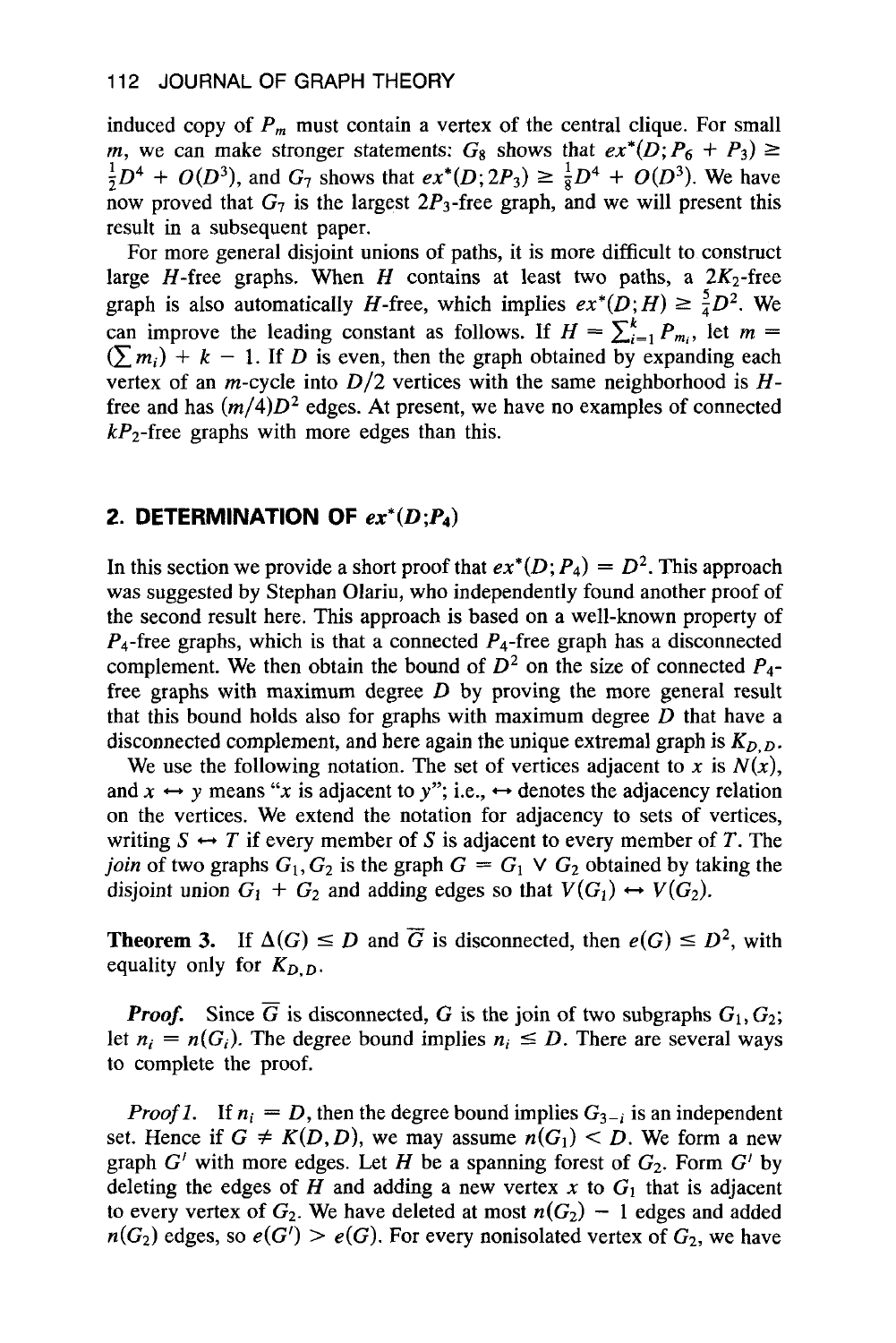induced copy of  $P_m$  must contain a vertex of the central clique. For small *m*, we can make stronger statements:  $G_8$  shows that  $ex^*(D; P_6 + P_3) \ge$ now proved that  $G_7$  is the largest  $2P_3$ -free graph, and we will present this result in a subsequent paper.  $\frac{1}{2}D^4 + O(D^3)$ , and  $G_7$  shows that  $ex^*(D; 2P_3) \ge \frac{1}{8}D^4 + O(D^3)$ . We have

For more general disjoint unions of paths, it is more difficult to construct large H-free graphs. When H contains at least two paths, a  $2K_2$ -free graph is also automatically *H*-free, which implies  $ex^*(D;H) \ge \frac{5}{4}D^2$ . We can improve the leading constant as follows. If  $H = \sum_{i=1}^{k} P_{m_i}$ , let  $m =$  $(\sum m_i) + k - 1$ . If *D* is even, then the graph obtained by expanding each vertex of an *m*-cycle into  $D/2$  vertices with the same neighborhood is  $H$ free and has  $(m/4)D^2$  edges. At present, we have no examples of connected  $kP_2$ -free graphs with more edges than this.

#### **2. DETERMINATION OF**  $ex^*(D; P_4)$

In this section we provide a short proof that  $ex^*(D; P_4) = D^2$ . This approach was suggested by Stephan Olariu, who independently found another proof of the second result here. This approach is based on a well-known property of  $P_4$ -free graphs, which is that a connected  $P_4$ -free graph has a disconnected complement. We then obtain the bound of  $D^2$  on the size of connected  $P_4$ free graphs with maximum degree *D* by proving the more general result that this bound holds also for graphs with maximum degree *D* that have a disconnected complement, and here again the unique extremal graph is  $K_{D,D}$ .

We use the following notation. The set of vertices adjacent to *x* is  $N(x)$ , and  $x \leftrightarrow y$  means "x is adjacent to y"; i.e.,  $\leftrightarrow$  denotes the adjacency relation on the vertices. We extend the notation for adjacency to sets of vertices, writing  $S \leftrightarrow T$  if every member of S is adjacent to every member of T. The *join* of two graphs  $G_1, G_2$  is the graph  $G = G_1 \vee G_2$  obtained by taking the disjoint union  $G_1 + G_2$  and adding edges so that  $V(G_1) \leftrightarrow V(G_2)$ . for  $G_1$ ,  $G_2$  is the graph  $G = G_1 \vee G_2$  obtained by taking the disjoint union  $G_1 + G_2$  and adding edges so that  $V(G_1) \leftrightarrow V(G_2)$ .<br> **Theorem 3.** If  $\Delta(G) \le D$  and  $\overline{G}$  is disconnected, then  $e(G) \le D^2$ , with equality

equality only for  $K_{D,D}$ .

*Proof.* Since  $\overline{G}$  is disconnected, *G* is the join of two subgraphs  $G_1, G_2$ ; let  $n_i = n(G_i)$ . The degree bound implies  $n_i \leq D$ . There are several ways to complete the proof.

*Proof 1.* If  $n_i = D$ , then the degree bound implies  $G_{3-i}$  is an independent set. Hence if  $G \neq K(D,D)$ , we may assume  $n(G_1) < D$ . We form a new graph  $G'$  with more edges. Let H be a spanning forest of  $G_2$ . Form  $G'$  by deleting the edges of H and adding a new vertex  $x$  to  $G_1$  that is adjacent to every vertex of  $G_2$ . We have deleted at most  $n(G_2) - 1$  edges and added  $n(G_2)$  edges, so  $e(G') > e(G)$ . For every nonisolated vertex of  $G_2$ , we have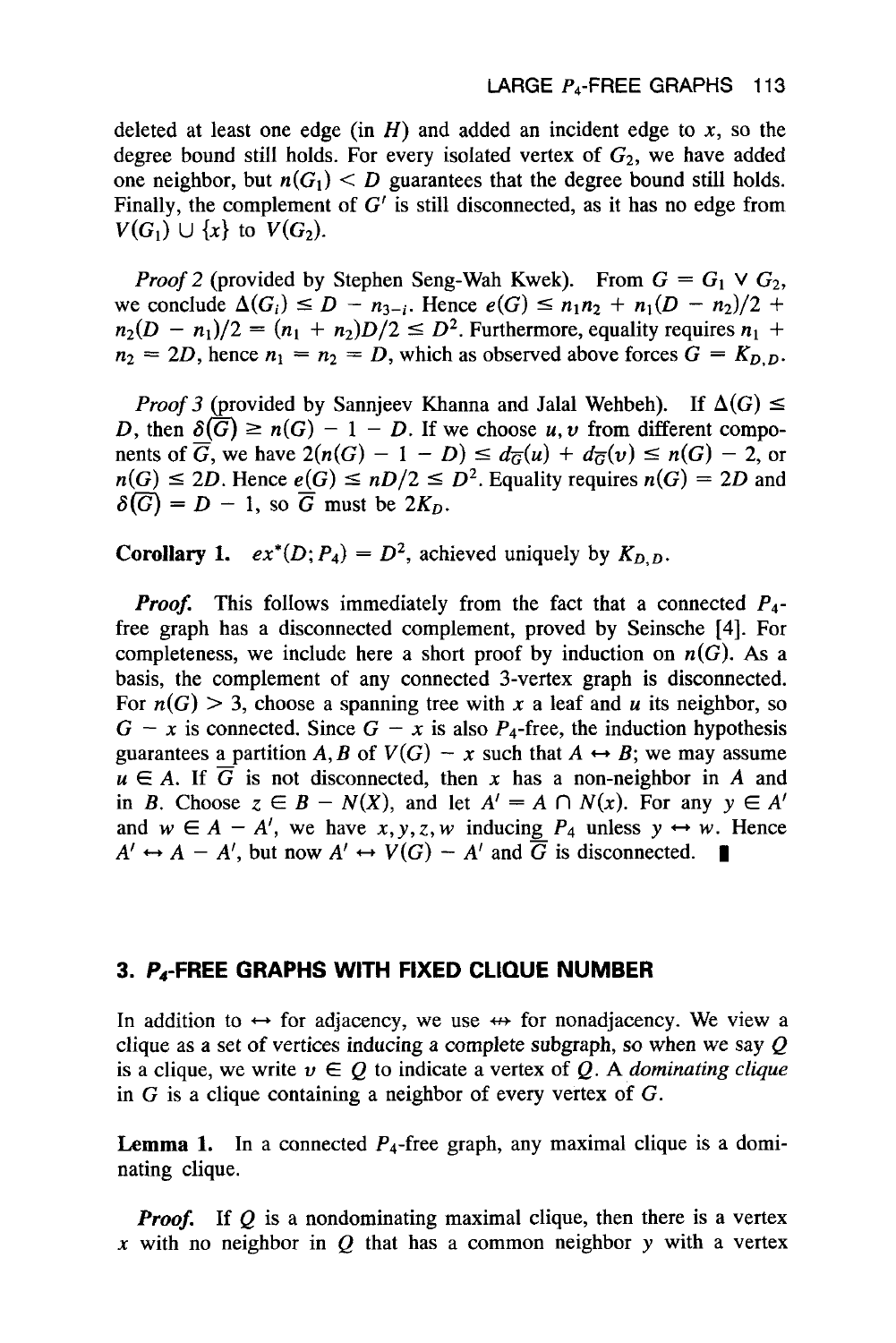deleted at least one edge (in  $H$ ) and added an incident edge to  $x$ , so the degree bound still holds. For every isolated vertex of  $G_2$ , we have added one neighbor, but  $n(G_1) < D$  guarantees that the degree bound still holds. Finally, the complement of *G'* is still disconnected, as it has no edge from  $V(G_1) \cup \{x\}$  to  $V(G_2)$ .

*Proof 2* (provided by Stephen Seng-Wah Kwek). From  $G = G_1 \vee G_2$ , *Proof* 2 (provided by Stephen Seng-Wah Kwek). From  $G = G_1 \vee G_2$ , we conclude  $\Delta(G_i) \leq D - n_{3-i}$ . Hence  $e(G) \leq n_1 n_2 + n_1 (D - n_2)/2 + \cdots$ *Proof* 2 (provided by Stephen Seng-Wah Kwek). From  $G = G_1 \vee G_2$ , we conclude  $\Delta(G_i) \le D - n_{3-i}$ . Hence  $e(G) \le n_1 n_2 + n_1 (D - n_2)/2 + n_2 (D - n_1)/2 = (n_1 + n_2)D/2 \le D^2$ . Furthermore, equality requires  $n_1 + n_2 = 2D$  hence  $n_1 = n_2 = D$ 

 $n_2(D - n_1)/2 = (n_1 + n_2)D/2 \le D^2$ . Furthermore, equality requires  $n_1 + n_2 = 2D$ , hence  $n_1 = n_2 = D$ , which as observed above forces  $G = K_{D,D}$ .<br>*Proof 3* (provided by Sannjeev Khanna and Jalal Wehbeh). If  $\Delta(G) \le D$  then  $\delta(G) \$ *Proof 3* (provided by Sannjeev Khanna and Jalal Wehbeh). If  $\Delta(G) \leq D$ , then  $\delta(\overline{G}) \geq n(G) - 1 - D$ . If we choose *u*, *v* from different components of  $\overline{G}$ , we have  $2(n(G) - 1 - D) \leq d_{\overline{G}}(u) + d_{\overline{G}}(v) \leq n(G) - 2$ , or  $n(G) \leq 2D$ . Hence  $e(G) \leq nD/2 \leq D^2$ . Equality requires  $n(G) = 2D$  and  $\delta(\overline{G}) = D - 1$ , so  $\overline{G}$  must be  $2K_D$ .

**Corollary 1.**  $ex^*(D; P_4) = D^2$ , achieved uniquely by  $K_{D,D}$ .

*Proof.* This follows immediately from the fact that a connected  $P_4$ free graph has a disconnected complement, proved by Seinsche **[4].** For completeness, we include here a short proof by induction on  $n(G)$ . As a basis, the complement of any connected 3-vertex graph is disconnected. For  $n(G) > 3$ , choose a spanning tree with x a leaf and u its neighbor, so  $G - x$  is connected. Since  $G - x$  is also  $P_4$ -free, the induction hypothesis guarantees a partition A, B of  $V(G) - x$  such that  $A \leftrightarrow B$ ; we may assume  $u \in A$ . If  $\overline{G}$  is not disconnected, then x has a non-neighbor in A and in B. Choose  $z \in B - N(X)$ , and let  $A' = A \cap N(x)$ . For any  $y \in A'$ in *B*. Choose  $z \in B - N(X)$ , and let  $A' = A \cap N(x)$ . For any  $y \in A'$ <br>and  $w \in A - A'$ , we have *x*, *y*, *z*, *w* inducing  $P_4$  unless  $y \leftrightarrow w$ . Hence and  $w \in A - A'$ , we have  $x, y, z, w$  inducing  $P_4$  unless  $y \leftrightarrow w$ . H<br>  $A' \leftrightarrow A - A'$ , but now  $A' \leftrightarrow V(G) - A'$  and  $\overline{G}$  is disconnected.

# **3. P4-FREE GRAPHS WITH FIXED CLIQUE NUMBER**

In addition to  $\leftrightarrow$  for adjacency, we use  $\leftrightarrow$  for nonadjacency. We view a clique as a set of vertices inducing a complete subgraph, so when we say *Q*  is a clique, we write  $v \in Q$  to indicate a vertex of Q. A *dominating clique* in *G* is a clique containing a neighbor of every vertex of *G.* 

**Lemma 1.** In a connected  $P_4$ -free graph, any maximal clique is a dominating clique.

*Proof.* If Q is a nondominating maximal clique, then there is a vertex  $x$  with no neighbor in  $Q$  that has a common neighbor  $y$  with a vertex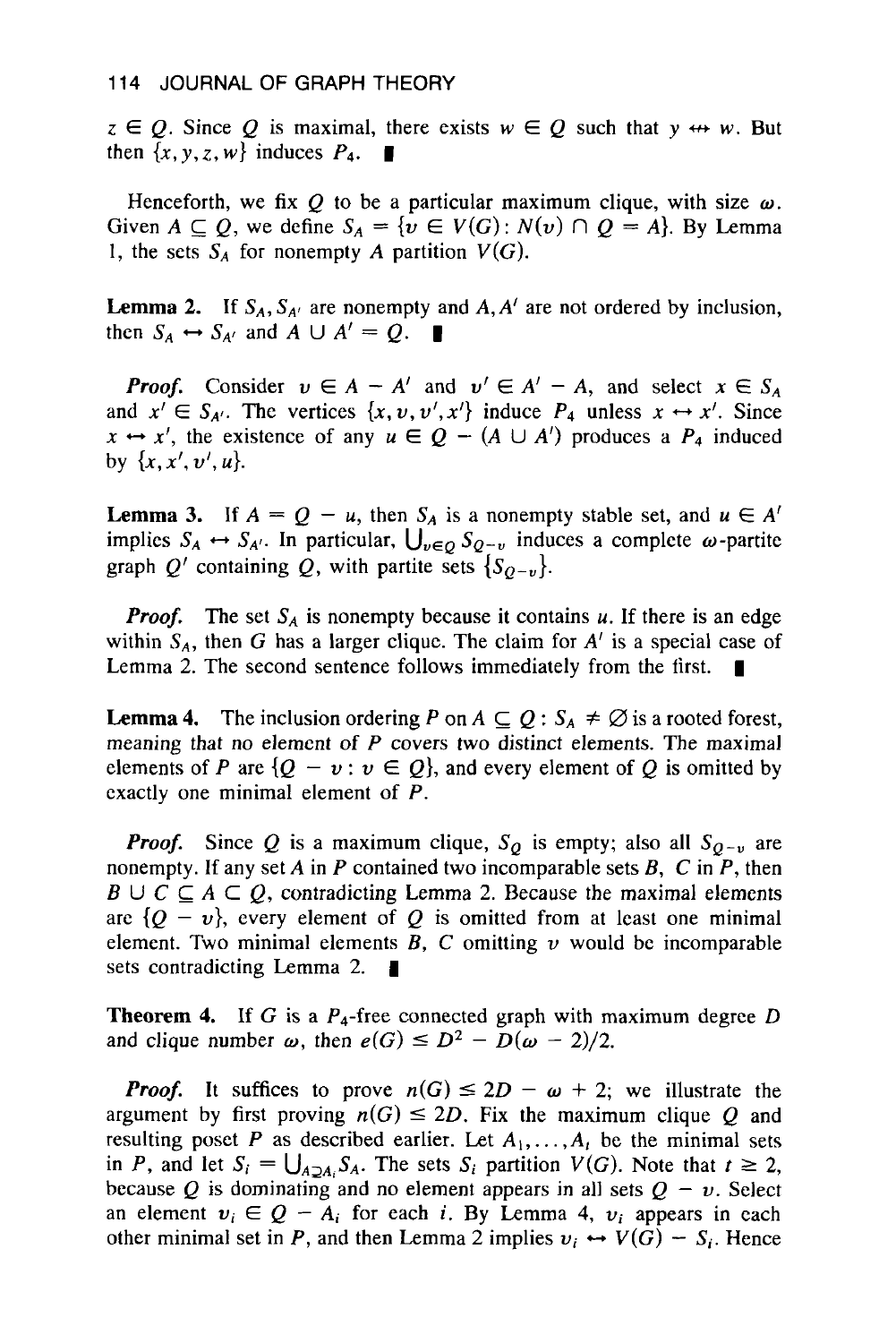$z \in Q$ . Since *Q* is maximal, there exists  $w \in Q$  such that  $y \leftrightarrow w$ . But then  $\{x, y, z, w\}$  induces  $P_4$ .

Henceforth, we fix  $Q$  to be a particular maximum clique, with size  $\omega$ . Given  $A \subseteq Q$ , we define  $S_A = \{v \in V(G) : N(v) \cap Q = A\}$ . By Lemma 1, the sets  $S_A$  for nonempty *A* partition  $V(G)$ .

**Lemma 2.** If  $S_A$ ,  $S_{A'}$  are nonempty and  $A$ ,  $A'$  are not ordered by inclusion, then  $S_A \leftrightarrow S_{A'}$  and  $A \cup A' = Q$ . then  $S_A \leftrightarrow S_{A'}$  and  $A \cup A' = Q$ .

**Proof.** Consider  $v \in A - A'$  and  $v' \in A' - A$ , and select  $x \in S_A$ <br>and  $x' \in S_{A'}$ . The vertices  $\{x, v, v', x'\}$  induce  $P_4$  unless  $x \leftrightarrow x'$ . Since and  $x' \in S_{A'}$ . The vertices  $\{x, v, v', x'\}$  induce  $P_4$  unless  $x \leftrightarrow x'$ . Since  $x \leftrightarrow x'$ , the existence of any  $u \in Q - (A \cup A')$  produces a  $P_4$  induced by  $\{x, x', v', u\}.$ 

**Lemma 3.** If  $A = Q - u$ , then  $S_A$  is a nonempty stable set, and  $u \in A'$  implies  $S_A \leftrightarrow S_{A'}$ . In particular,  $\bigcup_{v \in Q} S_{Q-v}$  induces a complete  $\omega$ -partite graph *Q'* containing *Q*, with partite sets  ${S_{Q-v}}$ .

*Proof.* The set  $S_A$  is nonempty because it contains  $u$ . If there is an edge within  $S_A$ , then *G* has a larger clique. The claim for  $A'$  is a special case of Lemma 2. The second sentence follows immediately from the first.

**Lemma 4.** The inclusion ordering P on  $A \subseteq Q : S_A \neq \emptyset$  is a rooted forest, meaning that no element **of** *P* covers two distinct elements. The maximal elements of *P* are  $\{Q - v : v \in Q\}$ , and every element of *Q* is omitted by exactly one minimal element of P.

*Proof.* Since Q is a maximum clique,  $S<sub>O</sub>$  is empty; also all  $S<sub>O-U</sub>$  are nonempty. If any set *A* in P contained two incomparable sets *B, C* in P, then  $B \cup C \subseteq A \subseteq Q$ , contradicting Lemma 2. Because the maximal elements are  ${Q - v}$ , every element of *Q* is omitted from at least one minimal element. Two minimal elements  $\overline{B}$ ,  $\overline{C}$  omitting  $\nu$  would be incomparable sets contradicting Lemma 2.

**Theorem 4.** If *G* is a  $P_4$ -free connected graph with maximum degree *D* and clique number  $\omega$ , then  $e(G) \le D^2 - D(\omega - 2)/2$ .

*Proof.* It suffices to prove  $n(G) \leq 2D - \omega + 2$ ; we illustrate the argument by first proving  $n(G) \leq 2D$ . Fix the maximum clique Q and resulting poset P as described earlier. Let  $A_1, \ldots, A_t$  be the minimal sets in P, and let  $S_i = \bigcup_{A \supset A_i} S_A$ . The sets  $S_i$  partition  $V(G)$ . Note that  $t \geq 2$ , in P, and let  $S_i = \bigcup_{A \supseteq A_i} S_A$ . The sets  $S_i$  partition  $V(G)$ . Note that  $t \ge 2$ , because Q is dominating and no element appears in all sets  $Q - \nu$ . Select because Q is dominating and no element appears in all sets  $Q - \nu$ . Select an element  $v_i \in Q - A_i$  for each *i*. By Lemma 4,  $v_i$  appears in each an element  $v_i \in Q - A_i$  for each *i*. By Lemma 4,  $v_i$  appears in each other minimal set in *P*, and then Lemma 2 implies  $v_i \leftrightarrow V(G) - S_i$ . Hence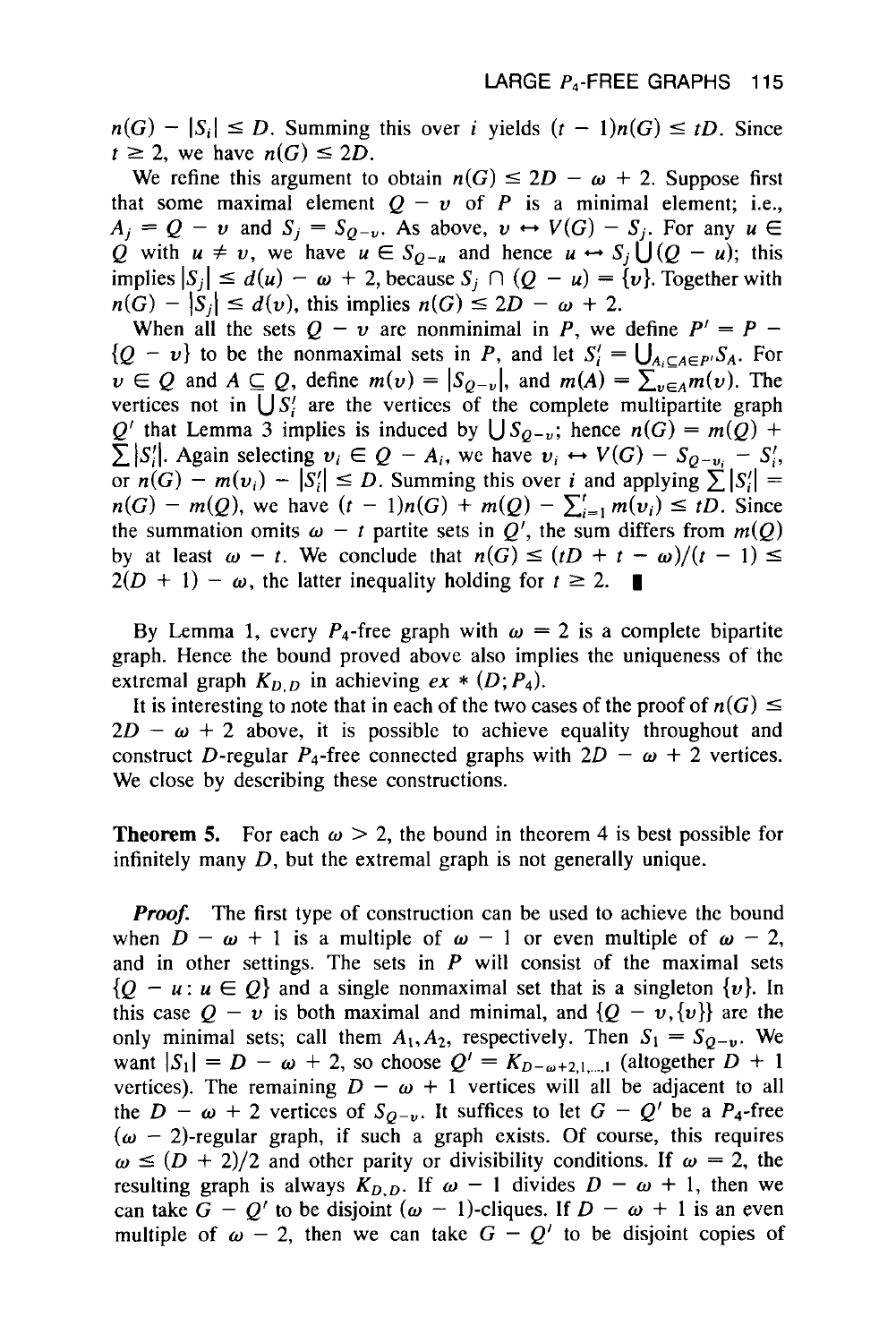**LARGE P<sub>4</sub>-FREE GRAPHS 115**<br> $n(G) - |S_i| \le D$ . Summing this over *i* yields  $(t - 1)n(G) \le tD$ . Since  $t \ge 2$ , we have  $n(G) \le 2D$  $t \ge 2$ , we have  $n(G) \le 2D$ .<br>We refine this argument to obtain  $n(G) \le 2D - \omega + 2$ . Suppose first  $G - |S_i| \le D$ . Summing this over *i* yields  $(t - 1)n(G) \le tD$ . Since  $\ge 2$ , we have  $n(G) \le 2D$ .<br>We refine this argument to obtain  $n(G) \le 2D - \omega + 2$ . Suppose first at some maximal element  $Q - \nu$  of  $P$  is a minimal element; i.e.

that some maximal element  $Q - v$  of P is a minimal element; i.e., *A<sub>j</sub>* =  $Q - v$  and  $S_j = S_{Q-v}$ . As above,  $v \leftrightarrow V(G) - S_j$ . For any  $u \in$ that some maximal element  $Q - v$  of P is a minimal element; i.e.,<br>  $A_j = Q - v$  and  $S_j = S_{Q-v}$ . As above,  $v \leftrightarrow V(G) - S_j$ . For any  $u \in Q$  with  $u \neq v$ , we have  $u \in S_{Q-u}$  and hence  $u \leftrightarrow S_j \cup (Q-u)$ ; this<br>
implies  $|S_j| \leq d(u) - \omega + 2$ , Q with  $u \neq v$ , we have  $u \in S_{Q-u}$  and hence  $u \leftrightarrow S_j \cup (Q-u)$ ; this implies  $|S_j| \leq d(u) - \omega + 2$ , because  $S_j \cap (Q-u) = \{v\}$ . Together with  $n(G) - |S_j| \leq d(v)$ , this implies  $n(G) \leq 2D - \omega + 2$ .

When all the sets  $Q - v$  are nonminimal in P, we define  $P' = P - v$ when all the sets  $Q - v$  are nonminimal in *P*, we define  $P' = P -$ <br> $\{Q - v\}$  to be the nonmaximal sets in *P*, and let  $S_i' = \bigcup_{A_i \subseteq A \in P} S_A$ . For  $w \in Q$  and  $A \subseteq Q$ , define  $m(v) = |S_{Q-v}|$ , and  $m(A) = \sum_{v \in A}^{N_1} m(v)$ . The vertices not in  $\bigcup S_i'$  are the vertices of the complete multipartite graph  $Q'$  that Lemma 3 implies is induced by  $\bigcup S_{Q-v}$ ; hence  $n(G) = m(Q) +$  $\sum |S_i'|$ . Again selecting  $v_i \in Q - A_i$ , we have  $v_i \leftrightarrow V(G) - S_{Q-v_i} - S_i'$ , or  $n(G) - m(v_i) - |\overline{S}_i| \le D$ . Summing this over i and applying  $\sum |S_i|$  = *n(G)* - *m(Q),* we have (r - **l)n(G)** + *m(Q)* - **xl=l** *m(u;)* **I** tD. Since the summation omits  $\omega - t$  partite sets in  $Q'$ , the sum differs from  $m(Q)$ <br>by at least  $\omega - t$ . We conclude that  $n(G) \le (tD + t - \omega)/(t - 1) \le$ by  $n(G) - m(Q)$ , we have  $(t - 1)n(G) + m(Q) - \sum_{i=1}^{t} m(v_i) \leq tD$ . Since<br>the summation omits  $\omega - t$  partite sets in  $Q'$ , the sum differs from  $m(Q)$ <br>by at least  $\omega - t$ . We conclude that  $n(G) \leq (tD + t - \omega)/(t - 1) \leq$ <br> $2(D + 1) - \omega$ , the la  $2(D + 1) - \omega$ , the latter inequality holding for  $t \ge 2$ .

By Lemma 1, every  $P_4$ -free graph with  $\omega = 2$  is a complete bipartite By Lemma 1, every  $P_4$ -free graph with  $\omega = 2$  is a complete bipartite<br>graph. Hence the bound proved above also implies the uniqueness of the<br>extremal graph  $K_{D,D}$  in achieving  $ex * (D; P_4)$ .<br>It is interesting to note tha extremal graph  $K_{D,D}$  in achieving  $ex * (D; P<sub>4</sub>)$ .

It is interesting to note that in each of the two cases of the proof of  $n(G) \le 2D - \omega + 2$  above, it is possible to achieve equality throughout and construct D-regular  $P_4$ -free connected graphs with  $2D - \omega + 2$  vertices. We close by describing these constructions.

**Theorem 5.** For each  $\omega > 2$ , the bound in theorem 4 is best possible for infinitely many  $D$ , but the extremal graph is not generally unique.

*Proof.* The first type of construction can be used to achieve the bound when  $D - \omega + 1$  is a multiple of  $\omega - 1$  or even multiple of  $\omega - 2$ , and in other settings. The sets in P will consist **of** the maximal sets  ${Q - u : u \in Q}$  and a single nonmaximal set that is a singleton  ${v}$ . In this case  $Q - v$  is both maximal and minimal, and  $\{Q - v,\{v\}\}\$ are the only minimal sets; call them  $A_1, A_2$ , respectively. Then  $S_1 = S_{Q-y}$ . We want  $|S_1| = D - \omega + 2$ , so choose  $Q' = K_{D-\omega+2,1,\dots,1}$  (altogether  $D + 1$ vertices). The remaining  $D - \omega + 1$  vertices will all be adjacent to all the  $D - \omega + 2$  vertices of  $S_{Q-v}$ . It suffices to let  $G - Q'$  be a  $P_4$ -free  $(\omega - 2)$ -regular graph, if such a graph exists. Of course, this requires  $\omega \leq (D + 2)/2$  and other parity or divisibility conditions. If  $\omega = 2$ , the resulting graph is always  $K_{D,D}$ . If  $\omega - 1$  divides  $D - \omega + 1$ , then we can take  $G - Q'$  to be disjoint  $(\omega - 1)$ -cliques. If  $D - \omega + 1$  is an even multiple of  $\omega$  - 2, then we can take  $G - Q'$  to be disjoint copies of